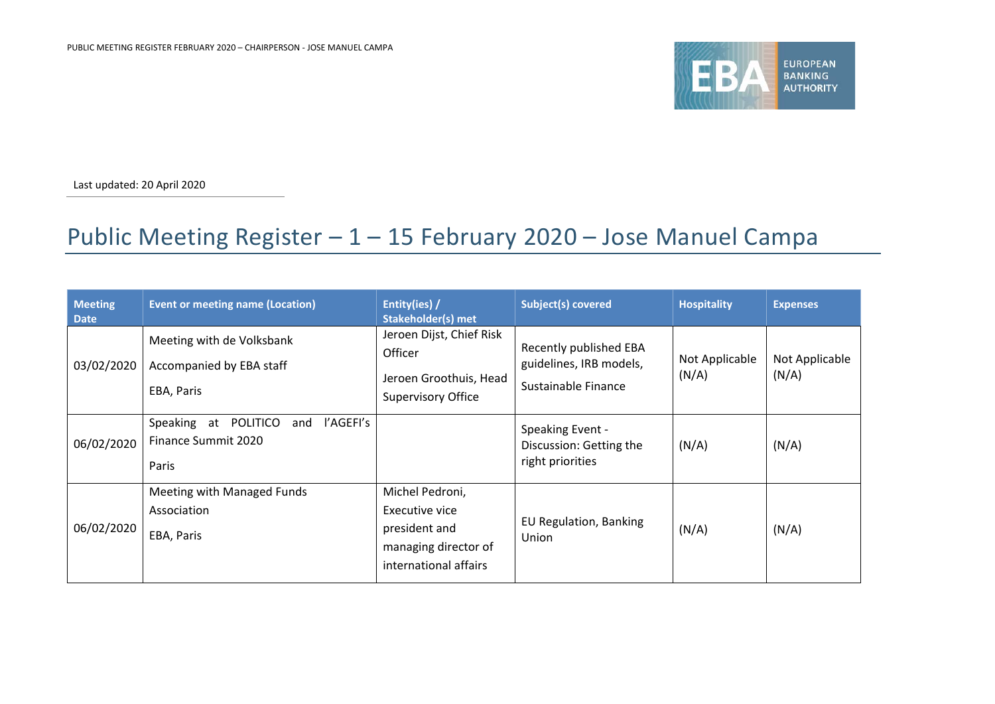

Last updated: 20 April 2020

## Public Meeting Register – 1 – 15 February 2020 – Jose Manuel Campa

| <b>Meeting</b><br><b>Date</b> | <b>Event or meeting name (Location)</b>                                  | Entity(ies) /<br><b>Stakeholder(s) met</b>                                                          | <b>Subject(s) covered</b>                                                | <b>Hospitality</b>      | <b>Expenses</b>         |
|-------------------------------|--------------------------------------------------------------------------|-----------------------------------------------------------------------------------------------------|--------------------------------------------------------------------------|-------------------------|-------------------------|
| 03/02/2020                    | Meeting with de Volksbank<br>Accompanied by EBA staff<br>EBA, Paris      | Jeroen Dijst, Chief Risk<br>Officer<br>Jeroen Groothuis, Head<br><b>Supervisory Office</b>          | Recently published EBA<br>guidelines, IRB models,<br>Sustainable Finance | Not Applicable<br>(N/A) | Not Applicable<br>(N/A) |
| 06/02/2020                    | l'AGEFI's<br>Speaking at POLITICO<br>and<br>Finance Summit 2020<br>Paris |                                                                                                     | Speaking Event -<br>Discussion: Getting the<br>right priorities          | (N/A)                   | (N/A)                   |
| 06/02/2020                    | Meeting with Managed Funds<br>Association<br>EBA, Paris                  | Michel Pedroni,<br>Executive vice<br>president and<br>managing director of<br>international affairs | EU Regulation, Banking<br>Union                                          | (N/A)                   | (N/A)                   |